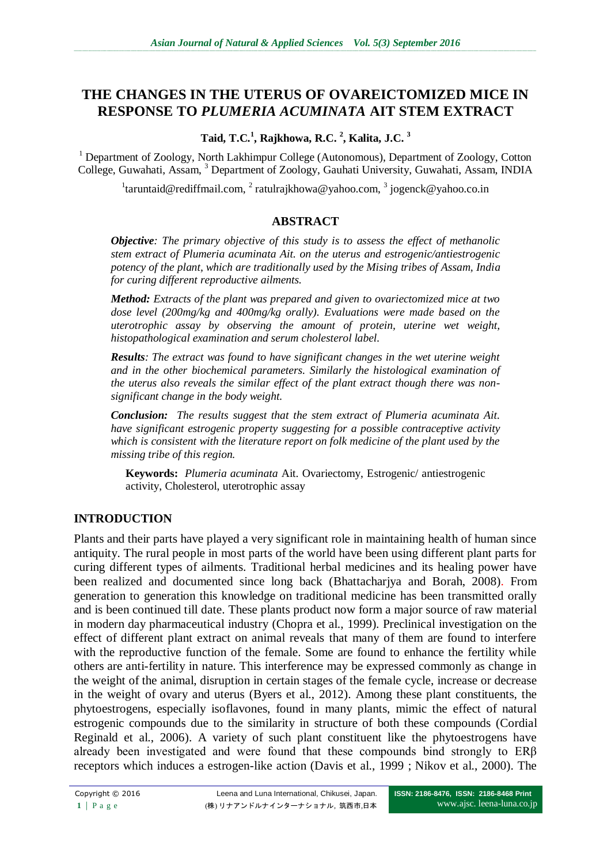# **THE CHANGES IN THE UTERUS OF OVAREICTOMIZED MICE IN RESPONSE TO** *PLUMERIA ACUMINATA* **AIT STEM EXTRACT**

## **Taid, T.C.<sup>1</sup> , Rajkhowa, R.C. <sup>2</sup> , Kalita, J.C. <sup>3</sup>**

<sup>1</sup> Department of Zoology, North Lakhimpur College (Autonomous), Department of Zoology, Cotton College, Guwahati, Assam, <sup>3</sup> Department of Zoology, Gauhati University, Guwahati, Assam, INDIA

<sup>1</sup>[taruntaid@rediffmail.com,](mailto:taruntaid@rediffmail.com) <sup>2</sup> [ratulrajkhowa@yahoo.com,](mailto:ratulrajkhowa@yahoo.com) <sup>3</sup> jogenck@yahoo.co.in

## **ABSTRACT**

*Objective: The primary objective of this study is to assess the effect of methanolic stem extract of Plumeria acuminata Ait. on the uterus and estrogenic/antiestrogenic potency of the plant, which are traditionally used by the Mising tribes of Assam, India for curing different reproductive ailments.* 

*Method: Extracts of the plant was prepared and given to ovariectomized mice at two dose level (200mg/kg and 400mg/kg orally). Evaluations were made based on the uterotrophic assay by observing the amount of protein, uterine wet weight, histopathological examination and serum cholesterol label.*

*Results: The extract was found to have significant changes in the wet uterine weight and in the other biochemical parameters. Similarly the histological examination of the uterus also reveals the similar effect of the plant extract though there was nonsignificant change in the body weight.*

*Conclusion: The results suggest that the stem extract of Plumeria acuminata Ait. have significant estrogenic property suggesting for a possible contraceptive activity which is consistent with the literature report on folk medicine of the plant used by the missing tribe of this region.*

**Keywords:** *Plumeria acuminata* Ait. Ovariectomy, Estrogenic/ antiestrogenic activity, Cholesterol, uterotrophic assay

# **INTRODUCTION**

Plants and their parts have played a very significant role in maintaining health of human since antiquity. The rural people in most parts of the world have been using different plant parts for curing different types of ailments. Traditional herbal medicines and its healing power have been realized and documented since long back (Bhattacharjya and Borah, 2008). From generation to generation this knowledge on traditional medicine has been transmitted orally and is been continued till date. These plants product now form a major source of raw material in modern day pharmaceutical industry (Chopra et al., 1999). Preclinical investigation on the effect of different plant extract on animal reveals that many of them are found to interfere with the reproductive function of the female. Some are found to enhance the fertility while others are anti-fertility in nature. This interference may be expressed commonly as change in the weight of the animal, disruption in certain stages of the female cycle, increase or decrease in the weight of ovary and uterus (Byers et al., 2012). Among these plant constituents, the phytoestrogens, especially isoflavones, found in many plants, mimic the effect of natural estrogenic compounds due to the similarity in structure of both these compounds (Cordial Reginald et al., 2006). A variety of such plant constituent like the phytoestrogens have already been investigated and were found that these compounds bind strongly to ERβ receptors which induces a estrogen-like action (Davis et al., 1999 ; Nikov et al., 2000). The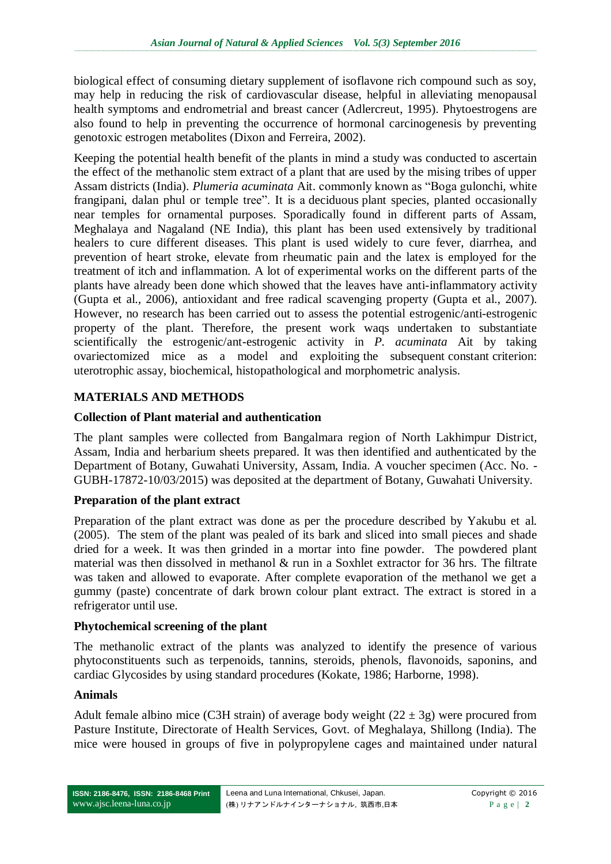biological effect of consuming dietary supplement of isoflavone rich compound such as soy, may help in reducing the risk of cardiovascular disease, helpful in alleviating menopausal health symptoms and endrometrial and breast cancer (Adlercreut, 1995). Phytoestrogens are also found to help in preventing the occurrence of hormonal carcinogenesis by preventing genotoxic estrogen metabolites (Dixon and Ferreira, 2002).

Keeping the potential health benefit of the plants in mind a study was conducted to ascertain the effect of the methanolic stem extract of a plant that are used by the mising tribes of upper Assam districts (India). *Plumeria acuminata* Ait. commonly known as "Boga gulonchi, white frangipani, dalan phul or temple tree". It is a deciduous plant species, planted occasionally near temples for ornamental purposes. Sporadically found in different parts of Assam, Meghalaya and Nagaland (NE India), this plant has been used extensively by traditional healers to cure different diseases. This plant is used widely to cure fever, diarrhea, and prevention of heart stroke, elevate from rheumatic pain and the latex is employed for the treatment of itch and inflammation. A lot of experimental works on the different parts of the plants have already been done which showed that the leaves have anti-inflammatory activity (Gupta et al., 2006), antioxidant and free radical scavenging property (Gupta et al., 2007). However, no research has been carried out to assess the potential estrogenic/anti-estrogenic property of the plant. Therefore, the present work waqs undertaken to substantiate scientifically the estrogenic/ant-estrogenic activity in *P. acuminata* Ait by taking ovariectomized mice as a model and exploiting the subsequent constant criterion: uterotrophic assay, biochemical, histopathological and morphometric analysis.

## **MATERIALS AND METHODS**

## **Collection of Plant material and authentication**

The plant samples were collected from Bangalmara region of North Lakhimpur District, Assam, India and herbarium sheets prepared. It was then identified and authenticated by the Department of Botany, Guwahati University, Assam, India. A voucher specimen (Acc. No. - GUBH-17872-10/03/2015) was deposited at the department of Botany, Guwahati University.

#### **Preparation of the plant extract**

Preparation of the plant extract was done as per the procedure described by Yakubu et al. (2005). The stem of the plant was pealed of its bark and sliced into small pieces and shade dried for a week. It was then grinded in a mortar into fine powder. The powdered plant material was then dissolved in methanol & run in a Soxhlet extractor for 36 hrs. The filtrate was taken and allowed to evaporate. After complete evaporation of the methanol we get a gummy (paste) concentrate of dark brown colour plant extract. The extract is stored in a refrigerator until use.

#### **Phytochemical screening of the plant**

The methanolic extract of the plants was analyzed to identify the presence of various phytoconstituents such as terpenoids, tannins, steroids, phenols, flavonoids, saponins, and cardiac Glycosides by using standard procedures (Kokate, 1986; Harborne, 1998).

#### **Animals**

Adult female albino mice (C3H strain) of average body weight  $(22 \pm 3)$  were procured from Pasture Institute, Directorate of Health Services, Govt. of Meghalaya, Shillong (India). The mice were housed in groups of five in polypropylene cages and maintained under natural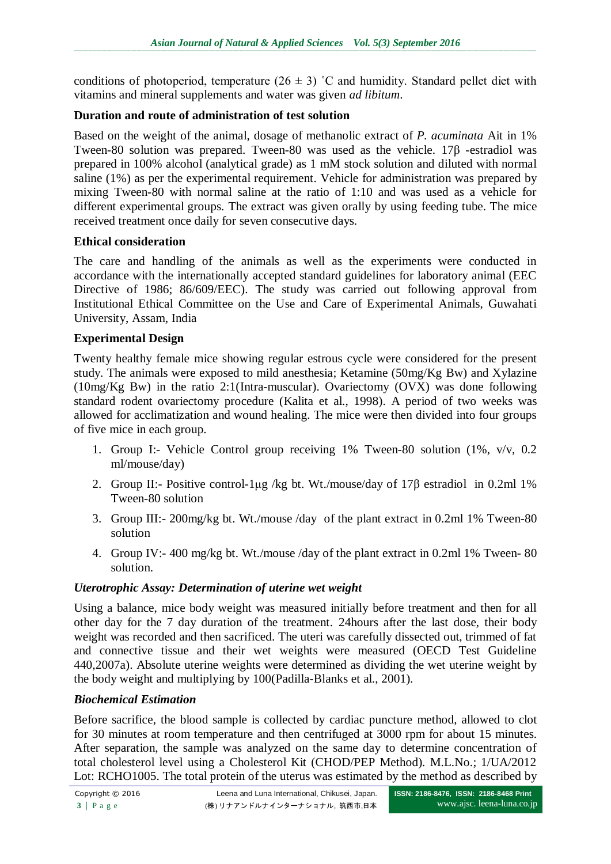conditions of photoperiod, temperature  $(26 \pm 3)$  °C and humidity. Standard pellet diet with vitamins and mineral supplements and water was given *ad libitum*.

# **Duration and route of administration of test solution**

Based on the weight of the animal, dosage of methanolic extract of *P. acuminata* Ait in 1% Tween-80 solution was prepared. Tween-80 was used as the vehicle. 17β -estradiol was prepared in 100% alcohol (analytical grade) as 1 mM stock solution and diluted with normal saline (1%) as per the experimental requirement. Vehicle for administration was prepared by mixing Tween-80 with normal saline at the ratio of 1:10 and was used as a vehicle for different experimental groups. The extract was given orally by using feeding tube. The mice received treatment once daily for seven consecutive days.

# **Ethical consideration**

The care and handling of the animals as well as the experiments were conducted in accordance with the internationally accepted standard guidelines for laboratory animal (EEC Directive of 1986; 86/609/EEC). The study was carried out following approval from Institutional Ethical Committee on the Use and Care of Experimental Animals, Guwahati University, Assam, India

## **Experimental Design**

Twenty healthy female mice showing regular estrous cycle were considered for the present study. The animals were exposed to mild anesthesia; Ketamine (50mg/Kg Bw) and Xylazine (10mg/Kg Bw) in the ratio 2:1(Intra-muscular). Ovariectomy (OVX) was done following standard rodent ovariectomy procedure (Kalita et al., 1998). A period of two weeks was allowed for acclimatization and wound healing. The mice were then divided into four groups of five mice in each group.

- 1. Group I:- Vehicle Control group receiving 1% Tween-80 solution (1%, v/v, 0.2 ml/mouse/day)
- 2. Group II:- Positive control-1μg /kg bt. Wt./mouse/day of 17β estradiol in 0.2ml 1% Tween-80 solution
- 3. Group III:- 200mg/kg bt. Wt./mouse /day of the plant extract in 0.2ml 1% Tween-80 solution
- 4. Group IV:- 400 mg/kg bt. Wt./mouse /day of the plant extract in 0.2ml 1% Tween- 80 solution.

# *Uterotrophic Assay: Determination of uterine wet weight*

Using a balance, mice body weight was measured initially before treatment and then for all other day for the 7 day duration of the treatment. 24hours after the last dose, their body weight was recorded and then sacrificed. The uteri was carefully dissected out, trimmed of fat and connective tissue and their wet weights were measured (OECD Test Guideline 440,2007a). Absolute uterine weights were determined as dividing the wet uterine weight by the body weight and multiplying by 100(Padilla-Blanks et al., 2001).

# *Biochemical Estimation*

Before sacrifice, the blood sample is collected by cardiac puncture method, allowed to clot for 30 minutes at room temperature and then centrifuged at 3000 rpm for about 15 minutes. After separation, the sample was analyzed on the same day to determine concentration of total cholesterol level using a Cholesterol Kit (CHOD/PEP Method). M.L.No.; 1/UA/2012 Lot: RCHO1005. The total protein of the uterus was estimated by the method as described by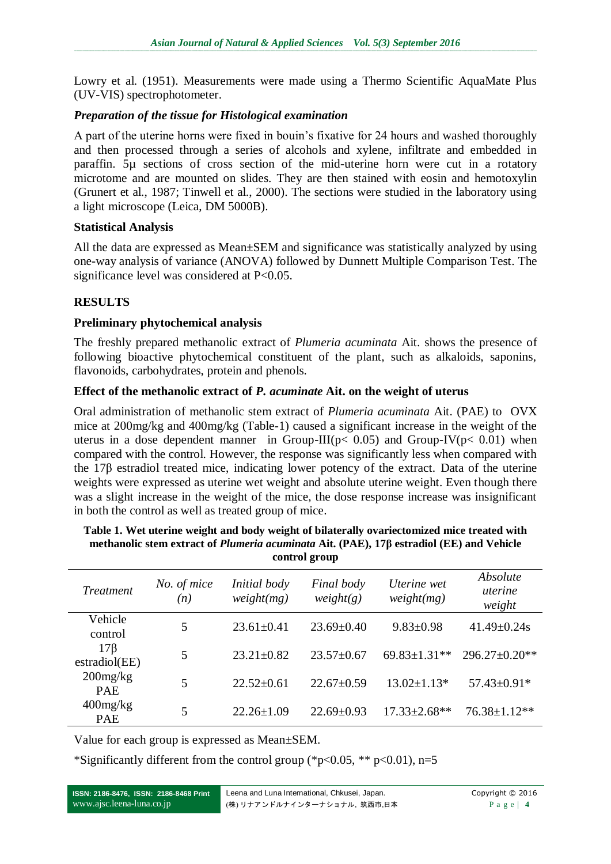Lowry et al. (1951). Measurements were made using a Thermo Scientific AquaMate Plus (UV-VIS) spectrophotometer.

## *Preparation of the tissue for Histological examination*

A part of the uterine horns were fixed in bouin's fixative for 24 hours and washed thoroughly and then processed through a series of alcohols and xylene, infiltrate and embedded in paraffin. 5µ sections of cross section of the mid-uterine horn were cut in a rotatory microtome and are mounted on slides. They are then stained with eosin and hemotoxylin (Grunert et al., 1987; Tinwell et al., 2000). The sections were studied in the laboratory using a light microscope (Leica, DM 5000B).

#### **Statistical Analysis**

All the data are expressed as Mean±SEM and significance was statistically analyzed by using one-way analysis of variance (ANOVA) followed by Dunnett Multiple Comparison Test. The significance level was considered at P<0.05.

# **RESULTS**

## **Preliminary phytochemical analysis**

The freshly prepared methanolic extract of *Plumeria acuminata* Ait. shows the presence of following bioactive phytochemical constituent of the plant, such as alkaloids, saponins, flavonoids, carbohydrates, protein and phenols.

## **Effect of the methanolic extract of** *P. acuminate* **Ait. on the weight of uterus**

Oral administration of methanolic stem extract of *Plumeria acuminata* Ait. (PAE) to OVX mice at 200mg/kg and 400mg/kg (Table-1) caused a significant increase in the weight of the uterus in a dose dependent manner in Group-III( $p$ < 0.05) and Group-IV( $p$ < 0.01) when compared with the control. However, the response was significantly less when compared with the 17β estradiol treated mice, indicating lower potency of the extract. Data of the uterine weights were expressed as uterine wet weight and absolute uterine weight. Even though there was a slight increase in the weight of the mice, the dose response increase was insignificant in both the control as well as treated group of mice.

| Treatment                    | No. of mice<br>(n) | Initial body<br>weight(mg) | Final body<br>weight(g) | Uterine wet<br>weight(mg) | Absolute<br>uterine<br>weight |
|------------------------------|--------------------|----------------------------|-------------------------|---------------------------|-------------------------------|
| Vehicle<br>control           | 5                  | $23.61 \pm 0.41$           | $23.69 \pm 0.40$        | $9.83 \pm 0.98$           | $41.49 \pm 0.24s$             |
| $17\beta$<br>estradiol(EE)   | 5                  | $23.21 \pm 0.82$           | $23.57 \pm 0.67$        | $69.83 \pm 1.31$ **       | $296.27 \pm 0.20$ **          |
| $200$ mg/ $kg$<br><b>PAE</b> | 5                  | $22.52 \pm 0.61$           | $22.67 \pm 0.59$        | $13.02 \pm 1.13*$         | 57.43±0.91*                   |
| $400$ mg/ $kg$<br><b>PAE</b> | 5                  | $22.26 \pm 1.09$           | $22.69 \pm 0.93$        | $17.33 \pm 2.68$ **       | 76.38±1.12**                  |

| Table 1. Wet uterine weight and body weight of bilaterally ovariectomized mice treated with                 |
|-------------------------------------------------------------------------------------------------------------|
| methanolic stem extract of <i>Plumeria acuminata</i> Ait. (PAE), 17 <sup>β</sup> estradiol (EE) and Vehicle |
| control group                                                                                               |

Value for each group is expressed as Mean±SEM.

\*Significantly different from the control group (\*p<0.05, \*\* p<0.01), n=5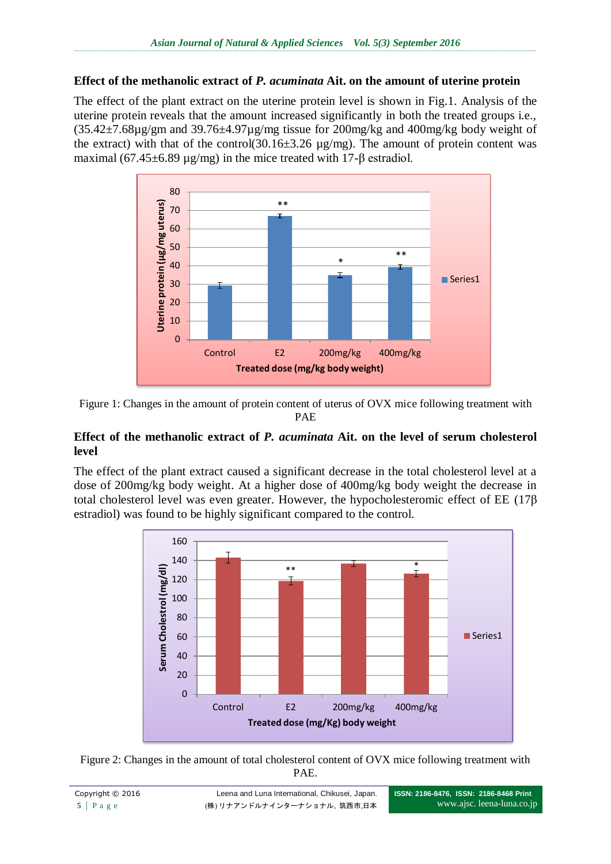## **Effect of the methanolic extract of** *P. acuminata* **Ait. on the amount of uterine protein**

The effect of the plant extract on the uterine protein level is shown in Fig.1. Analysis of the uterine protein reveals that the amount increased significantly in both the treated groups i.e.,  $(35.42\pm7.68\mu$ g/gm and 39.76 $\pm$ 4.97 $\mu$ g/mg tissue for 200mg/kg and 400mg/kg body weight of the extract) with that of the control(30.16 $\pm$ 3.26 µg/mg). The amount of protein content was maximal (67.45±6.89 µg/mg) in the mice treated with 17-β estradiol.



Figure 1: Changes in the amount of protein content of uterus of OVX mice following treatment with PAE

#### **Effect of the methanolic extract of** *P. acuminata* **Ait. on the level of serum cholesterol level**

The effect of the plant extract caused a significant decrease in the total cholesterol level at a dose of 200mg/kg body weight. At a higher dose of 400mg/kg body weight the decrease in total cholesterol level was even greater. However, the hypocholesteromic effect of EE (17β estradiol) was found to be highly significant compared to the control.



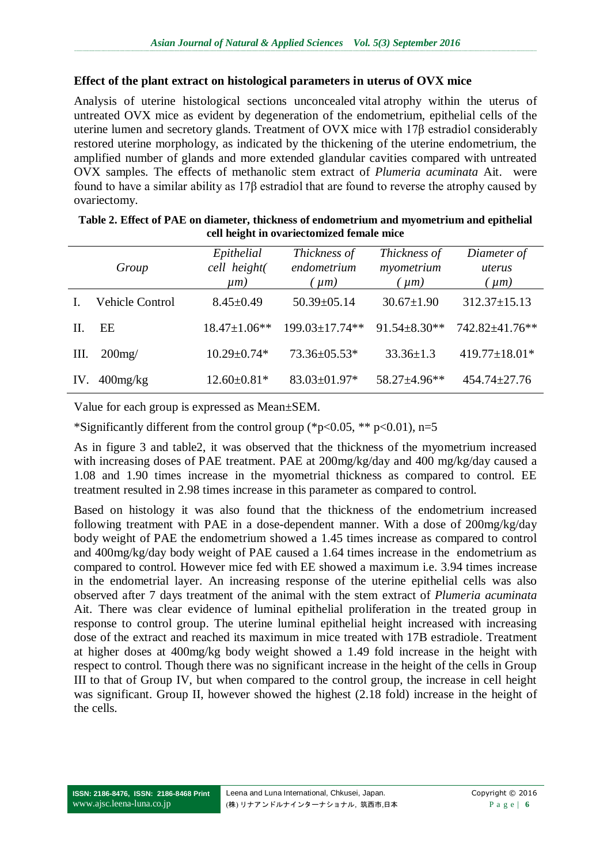#### **Effect of the plant extract on histological parameters in uterus of OVX mice**

Analysis of uterine histological sections unconcealed vital atrophy within the uterus of untreated OVX mice as evident by degeneration of the endometrium, epithelial cells of the uterine lumen and secretory glands. Treatment of OVX mice with 17β estradiol considerably restored uterine morphology, as indicated by the thickening of the uterine endometrium, the amplified number of glands and more extended glandular cavities compared with untreated OVX samples. The effects of methanolic stem extract of *Plumeria acuminata* Ait. were found to have a similar ability as 17β estradiol that are found to reverse the atrophy caused by ovariectomy.

|      | Group                  | Epithelial<br>cell height(<br>$\mu$ m) | Thickness of<br>endometrium<br>$\mu$ m) | Thickness of<br>myometrium<br>$\mu$ m | Diameter of<br>uterus<br>$\mu$ m) |
|------|------------------------|----------------------------------------|-----------------------------------------|---------------------------------------|-----------------------------------|
|      | <b>Vehicle Control</b> | $8.45 \pm 0.49$                        | 50.39±05.14                             | $30.67 \pm 1.90$                      | $312.37 \pm 15.13$                |
| H.   | EE                     | $18.47 \pm 1.06**$                     | $199.03 \pm 17.74**$                    | $91.54 \pm 8.30**$                    | 742.82±41.76**                    |
| III. | $200$ mg/              | $10.29 \pm 0.74*$                      | 73.36±05.53*                            | $33.36 \pm 1.3$                       | 419.77±18.01*                     |
| IV   | $400$ mg/ $kg$         | $12.60 \pm 0.81*$                      | 83.03±01.97*                            | 58.27±4.96**                          | $454.74 \pm 27.76$                |

| Table 2. Effect of PAE on diameter, thickness of endometrium and myometrium and epithelial |
|--------------------------------------------------------------------------------------------|
| cell height in ovariectomized female mice                                                  |

Value for each group is expressed as Mean±SEM.

\*Significantly different from the control group (\*p<0.05, \*\* p<0.01), n=5

As in figure 3 and table2, it was observed that the thickness of the myometrium increased with increasing doses of PAE treatment. PAE at 200mg/kg/day and 400 mg/kg/day caused a 1.08 and 1.90 times increase in the myometrial thickness as compared to control. EE treatment resulted in 2.98 times increase in this parameter as compared to control.

Based on histology it was also found that the thickness of the endometrium increased following treatment with PAE in a dose-dependent manner. With a dose of 200mg/kg/day body weight of PAE the endometrium showed a 1.45 times increase as compared to control and 400mg/kg/day body weight of PAE caused a 1.64 times increase in the endometrium as compared to control. However mice fed with EE showed a maximum i.e. 3.94 times increase in the endometrial layer. An increasing response of the uterine epithelial cells was also observed after 7 days treatment of the animal with the stem extract of *Plumeria acuminata* Ait. There was clear evidence of luminal epithelial proliferation in the treated group in response to control group. The uterine luminal epithelial height increased with increasing dose of the extract and reached its maximum in mice treated with 17B estradiole. Treatment at higher doses at 400mg/kg body weight showed a 1.49 fold increase in the height with respect to control. Though there was no significant increase in the height of the cells in Group III to that of Group IV, but when compared to the control group, the increase in cell height was significant. Group II, however showed the highest (2.18 fold) increase in the height of the cells.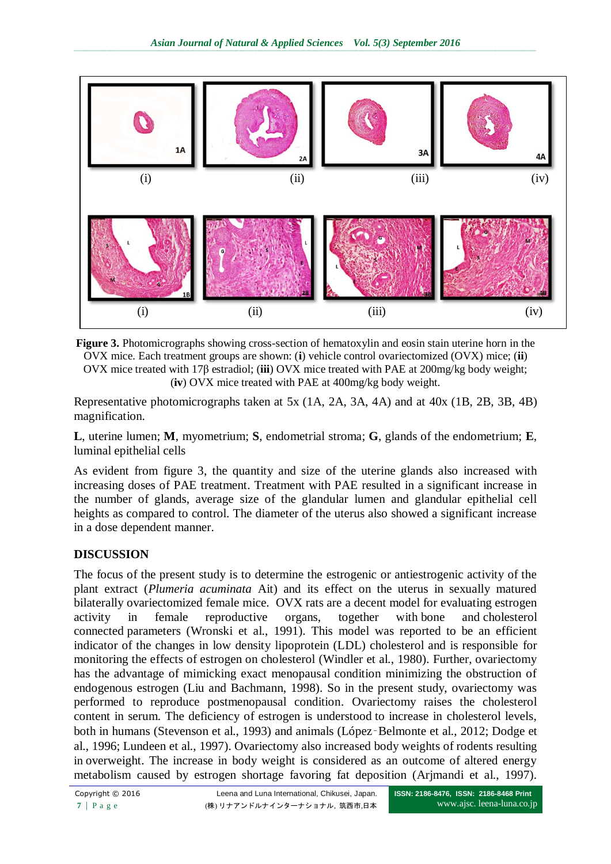

**Figure 3.** Photomicrographs showing cross-section of hematoxylin and eosin stain uterine horn in the OVX mice. Each treatment groups are shown: (**i**) vehicle control ovariectomized (OVX) mice; (**ii**) OVX mice treated with 17β estradiol; (**iii**) OVX mice treated with PAE at 200mg/kg body weight; (**iv**) OVX mice treated with PAE at 400mg/kg body weight.

Representative photomicrographs taken at 5x (1A, 2A, 3A, 4A) and at 40x (1B, 2B, 3B, 4B) magnification.

**L**, uterine lumen; **M**, myometrium; **S**, endometrial stroma; **G**, glands of the endometrium; **E**, luminal epithelial cells

As evident from figure 3, the quantity and size of the uterine glands also increased with increasing doses of PAE treatment. Treatment with PAE resulted in a significant increase in the number of glands, average size of the glandular lumen and glandular epithelial cell heights as compared to control. The diameter of the uterus also showed a significant increase in a dose dependent manner.

# **DISCUSSION**

The focus of the present study is to determine the estrogenic or antiestrogenic activity of the plant extract (*Plumeria acuminata* Ait) and its effect on the uterus in sexually matured bilaterally ovariectomized female mice. OVX rats are a decent model for evaluating estrogen activity in female reproductive organs, together with bone and cholesterol connected parameters (Wronski et al., 1991). This model was reported to be an efficient indicator of the changes in low density lipoprotein (LDL) cholesterol and is responsible for monitoring the effects of estrogen on cholesterol (Windler et al., 1980). Further, ovariectomy has the advantage of mimicking exact menopausal condition minimizing the obstruction of endogenous estrogen (Liu and Bachmann, 1998). So in the present study, ovariectomy was performed to reproduce postmenopausal condition. Ovariectomy raises the cholesterol content in serum. The deficiency of estrogen is understood to increase in cholesterol levels, both in humans (Stevenson et al., 1993) and animals (López‑Belmonte et al., 2012; Dodge et al., 1996; Lundeen et al., 1997). Ovariectomy also increased body weights of rodents resulting in overweight. The increase in body weight is considered as an outcome of altered energy metabolism caused by estrogen shortage favoring fat deposition (Arjmandi et al., 1997).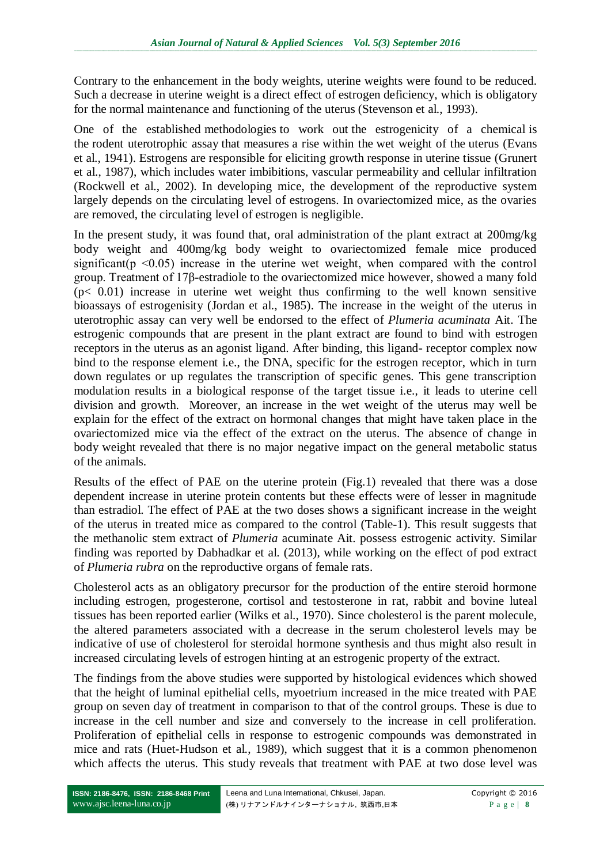Contrary to the enhancement in the body weights, uterine weights were found to be reduced. Such a decrease in uterine weight is a direct effect of estrogen deficiency, which is obligatory for the normal maintenance and functioning of the uterus (Stevenson et al., 1993).

One of the established methodologies to work out the estrogenicity of a chemical is the rodent uterotrophic assay that measures a rise within the wet weight of the uterus (Evans et al., 1941). Estrogens are responsible for eliciting growth response in uterine tissue (Grunert et al., 1987), which includes water imbibitions, vascular permeability and cellular infiltration (Rockwell et al., 2002). In developing mice, the development of the reproductive system largely depends on the circulating level of estrogens. In ovariectomized mice, as the ovaries are removed, the circulating level of estrogen is negligible.

In the present study, it was found that, oral administration of the plant extract at 200mg/kg body weight and 400mg/kg body weight to ovariectomized female mice produced significant( $p \leq 0.05$ ) increase in the uterine wet weight, when compared with the control group. Treatment of 17β-estradiole to the ovariectomized mice however, showed a many fold  $(p< 0.01)$  increase in uterine wet weight thus confirming to the well known sensitive bioassays of estrogenisity (Jordan et al., 1985). The increase in the weight of the uterus in uterotrophic assay can very well be endorsed to the effect of *Plumeria acuminata* Ait. The estrogenic compounds that are present in the plant extract are found to bind with estrogen receptors in the uterus as an agonist ligand. After binding, this ligand- receptor complex now bind to the response element i.e., the DNA, specific for the estrogen receptor, which in turn down regulates or up regulates the transcription of specific genes. This gene transcription modulation results in a biological response of the target tissue i.e., it leads to uterine cell division and growth. Moreover, an increase in the wet weight of the uterus may well be explain for the effect of the extract on hormonal changes that might have taken place in the ovariectomized mice via the effect of the extract on the uterus. The absence of change in body weight revealed that there is no major negative impact on the general metabolic status of the animals.

Results of the effect of PAE on the uterine protein (Fig.1) revealed that there was a dose dependent increase in uterine protein contents but these effects were of lesser in magnitude than estradiol. The effect of PAE at the two doses shows a significant increase in the weight of the uterus in treated mice as compared to the control (Table-1). This result suggests that the methanolic stem extract of *Plumeria* acuminate Ait. possess estrogenic activity. Similar finding was reported by Dabhadkar et al. (2013), while working on the effect of pod extract of *Plumeria rubra* on the reproductive organs of female rats.

Cholesterol acts as an obligatory precursor for the production of the entire steroid hormone including estrogen, progesterone, cortisol and testosterone in rat, rabbit and bovine luteal tissues has been reported earlier (Wilks et al., 1970). Since cholesterol is the parent molecule, the altered parameters associated with a decrease in the serum cholesterol levels may be indicative of use of cholesterol for steroidal hormone synthesis and thus might also result in increased circulating levels of estrogen hinting at an estrogenic property of the extract.

The findings from the above studies were supported by histological evidences which showed that the height of luminal epithelial cells, myoetrium increased in the mice treated with PAE group on seven day of treatment in comparison to that of the control groups. These is due to increase in the cell number and size and conversely to the increase in cell proliferation. Proliferation of epithelial cells in response to estrogenic compounds was demonstrated in mice and rats (Huet-Hudson et al., 1989), which suggest that it is a common phenomenon which affects the uterus. This study reveals that treatment with PAE at two dose level was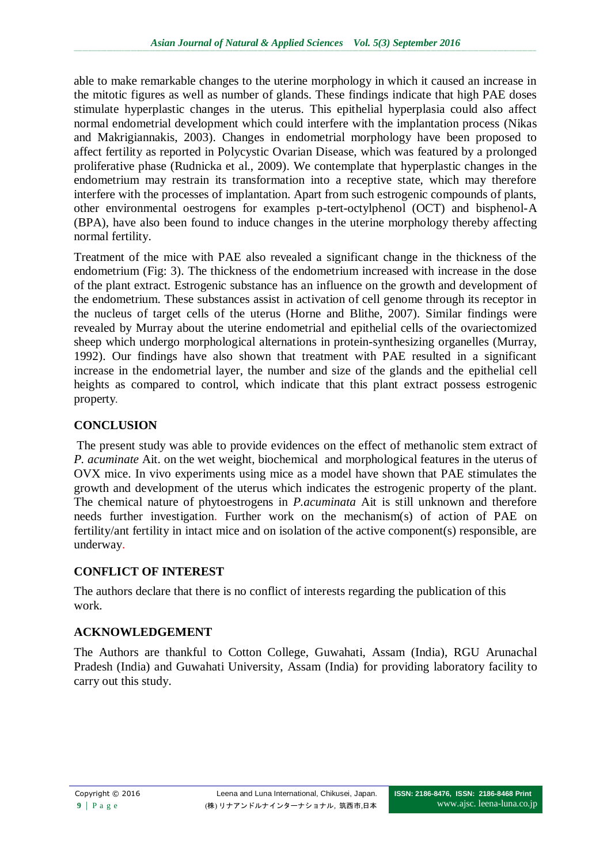able to make remarkable changes to the uterine morphology in which it caused an increase in the mitotic figures as well as number of glands. These findings indicate that high PAE doses stimulate hyperplastic changes in the uterus. This epithelial hyperplasia could also affect normal endometrial development which could interfere with the implantation process (Nikas and Makrigiannakis, 2003). Changes in endometrial morphology have been proposed to affect fertility as reported in Polycystic Ovarian Disease, which was featured by a prolonged proliferative phase (Rudnicka et al., 2009). We contemplate that hyperplastic changes in the endometrium may restrain its transformation into a receptive state, which may therefore interfere with the processes of implantation. Apart from such estrogenic compounds of plants, other environmental oestrogens for examples p-tert-octylphenol (OCT) and bisphenol-A (BPA), have also been found to induce changes in the uterine morphology thereby affecting normal fertility.

Treatment of the mice with PAE also revealed a significant change in the thickness of the endometrium (Fig: 3). The thickness of the endometrium increased with increase in the dose of the plant extract. Estrogenic substance has an influence on the growth and development of the endometrium. These substances assist in activation of cell genome through its receptor in the nucleus of target cells of the uterus (Horne and Blithe, 2007). Similar findings were revealed by Murray about the uterine endometrial and epithelial cells of the ovariectomized sheep which undergo morphological alternations in protein-synthesizing organelles (Murray, 1992). Our findings have also shown that treatment with PAE resulted in a significant increase in the endometrial layer, the number and size of the glands and the epithelial cell heights as compared to control, which indicate that this plant extract possess estrogenic property.

# **CONCLUSION**

The present study was able to provide evidences on the effect of methanolic stem extract of *P. acuminate* Ait. on the wet weight, biochemical and morphological features in the uterus of OVX mice. In vivo experiments using mice as a model have shown that PAE stimulates the growth and development of the uterus which indicates the estrogenic property of the plant. The chemical nature of phytoestrogens in *P.acuminata* Ait is still unknown and therefore needs further investigation. Further work on the mechanism(s) of action of PAE on fertility/ant fertility in intact mice and on isolation of the active component(s) responsible, are underway.

# **CONFLICT OF INTEREST**

The authors declare that there is no conflict of interests regarding the publication of this work.

# **ACKNOWLEDGEMENT**

The Authors are thankful to Cotton College, Guwahati, Assam (India), RGU Arunachal Pradesh (India) and Guwahati University, Assam (India) for providing laboratory facility to carry out this study.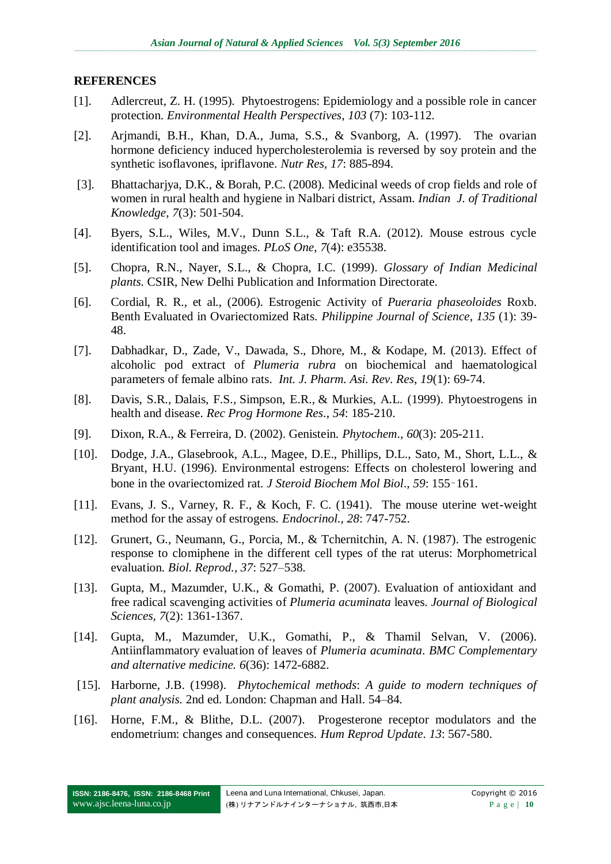#### **REFERENCES**

- [1]. Adlercreut, Z. H. (1995). Phytoestrogens: Epidemiology and a possible role in cancer protection. *Environmental Health Perspectives*, *103* (7): 103-112.
- [2]. Arjmandi, B.H., Khan, D.A., Juma, S.S., & Svanborg, A. (1997). The ovarian hormone deficiency induced hypercholesterolemia is reversed by soy protein and the synthetic isoflavones, ipriflavone. *Nutr Res, 17*: 885-894.
- [3]. Bhattacharjya, D.K., & Borah, P.C. (2008). Medicinal weeds of crop fields and role of women in rural health and hygiene in Nalbari district, Assam. *Indian J. of Traditional Knowledge, 7*(3): 501-504.
- [4]. Byers, S.L., Wiles, M.V., Dunn S.L., & Taft R.A. (2012). Mouse estrous cycle identification tool and images. *PLoS One*, *7*(4): e35538.
- [5]. Chopra, R.N., Nayer, S.L., & Chopra, I.C. (1999). *Glossary of Indian Medicinal plants*. CSIR, New Delhi Publication and Information Directorate.
- [6]. Cordial, R. R., et al., (2006). Estrogenic Activity of *Pueraria phaseoloides* Roxb. Benth Evaluated in Ovariectomized Rats. *Philippine Journal of Science*, *135* (1): 39- 48.
- [7]. Dabhadkar, D., Zade, V., Dawada, S., Dhore, M., & Kodape, M. (2013). Effect of alcoholic pod extract of *Plumeria rubra* on biochemical and haematological parameters of female albino rats. *Int. J. Pharm. Asi. Rev. Res*, *19*(1): 69-74.
- [8]. Davis, S.R.*,* Dalais, F.S.*,* Simpson, E.R., & Murkies, A.L*.* (1999). Phytoestrogens in health and disease. *Rec Prog Hormone Res*., *54*: 185-210.
- [9]. Dixon, R.A., & Ferreira, D. (2002). Genistein. *Phytochem*., *60*(3): 205-211.
- [10]. Dodge, J.A., Glasebrook, A.L., Magee, D.E., Phillips, D.L., Sato, M., Short, L.L., & Bryant, H.U. (1996). Environmental estrogens: Effects on cholesterol lowering and bone in the ovariectomized rat. *J Steroid Biochem Mol Biol*., *59*: 155‑161.
- [11]. Evans, J. S., Varney, R. F., & Koch, F. C. (1941). The mouse uterine wet-weight method for the assay of estrogens. *Endocrinol., 28*: 747-752.
- [12]. Grunert, G., Neumann, G., Porcia, M., & Tchernitchin, A. N. (1987). The estrogenic response to clomiphene in the different cell types of the rat uterus: Morphometrical evaluation. *Biol. Reprod., 37*: 527–538.
- [13]. Gupta, M., Mazumder, U.K., & Gomathi, P. (2007). Evaluation of antioxidant and free radical scavenging activities of *Plumeria acuminata* leaves. *Journal of Biological Sciences, 7*(2): 1361-1367.
- [14]. Gupta, M., Mazumder, U.K., Gomathi, P., & Thamil Selvan, V. (2006). Antiinflammatory evaluation of leaves of *Plumeria acuminata*. *BMC Complementary and alternative medicine. 6*(36): 1472-6882.
- [15]. Harborne, J.B. (1998). *Phytochemical methods*: *A guide to modern techniques of plant analysis.* 2nd ed. London: Chapman and Hall. 54–84.
- [16]. Horne, F.M., & Blithe, D.L. (2007). Progesterone receptor modulators and the endometrium: changes and consequences. *Hum Reprod Update*. *13*: 567-580.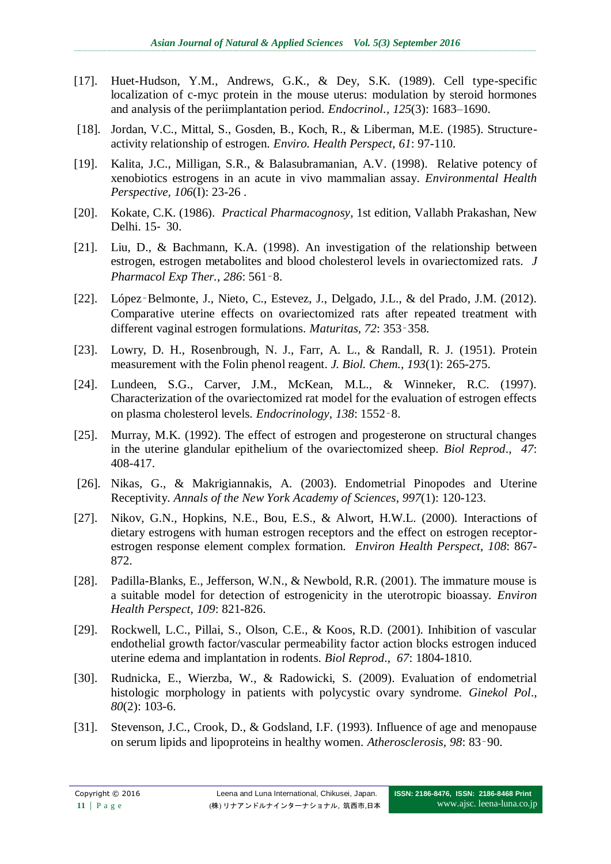- [17]. Huet-Hudson, Y.M., Andrews, G.K., & Dey, S.K. (1989). Cell type-specific localization of c-myc protein in the mouse uterus: modulation by steroid hormones and analysis of the periimplantation period. *Endocrinol., 125*(3): 1683–1690.
- [18]. Jordan, V.C., Mittal, S., Gosden, B., Koch, R., & Liberman, M.E. (1985). Structureactivity relationship of estrogen. *Enviro. Health Perspect*, *61*: 97-110.
- [19]. Kalita, J.C., Milligan, S.R., & Balasubramanian, A.V. (1998). Relative potency of xenobiotics estrogens in an acute in vivo mammalian assay. *Environmental Health Perspective, 106*(I): 23-26 .
- [20]. Kokate, C.K. (1986). *Practical Pharmacognosy*, 1st edition, Vallabh Prakashan, New Delhi. 15‐ 30.
- [21]. Liu, D., & Bachmann, K.A. (1998). An investigation of the relationship between estrogen, estrogen metabolites and blood cholesterol levels in ovariectomized rats. *J Pharmacol Exp Ther., 286*: 561‑8.
- [22]. López-Belmonte, J., Nieto, C., Estevez, J., Delgado, J.L., & del Prado, J.M. (2012). Comparative uterine effects on ovariectomized rats after repeated treatment with different vaginal estrogen formulations. *Maturitas, 72*: 353‑358.
- [23]. Lowry, D. H., Rosenbrough, N. J., Farr, A. L., & Randall, R. J. (1951). Protein measurement with the Folin phenol reagent. *J. Biol. Chem., 193*(1): 265-275.
- [24]. Lundeen, S.G., Carver, J.M., McKean, M.L., & Winneker, R.C. (1997). Characterization of the ovariectomized rat model for the evaluation of estrogen effects on plasma cholesterol levels. *Endocrinology, 138*: 1552‑8.
- [25]. Murray, M.K. (1992). The effect of estrogen and progesterone on structural changes in the uterine glandular epithelium of the ovariectomized sheep. *Biol Reprod*., *47*: 408-417.
- [26]. Nikas, G., & Makrigiannakis, A. (2003). Endometrial Pinopodes and Uterine Receptivity. *Annals of the New York Academy of Sciences*, *997*(1): 120-123.
- [27]. Nikov, G.N., Hopkins, N.E., Bou, E.S., & Alwort, H.W.L. (2000). Interactions of dietary estrogens with human estrogen receptors and the effect on estrogen receptorestrogen response element complex formation. *Environ Health Perspect*, *108*: 867- 872.
- [28]. Padilla-Blanks, E., Jefferson, W.N., & Newbold, R.R. (2001). The immature mouse is a suitable model for detection of estrogenicity in the uterotropic bioassay. *Environ Health Perspect, 109*: 821-826.
- [29]. Rockwell, L.C., Pillai, S., Olson, C.E., & Koos, R.D. (2001). Inhibition of vascular endothelial growth factor/vascular permeability factor action blocks estrogen induced uterine edema and implantation in rodents. *Biol Reprod*., *67*: 1804-1810.
- [30]. Rudnicka, E., Wierzba, W., & Radowicki, S. (2009). Evaluation of endometrial histologic morphology in patients with polycystic ovary syndrome. *Ginekol Pol*., *80*(2): 103-6.
- [31]. Stevenson, J.C., Crook, D., & Godsland, I.F. (1993). Influence of age and menopause on serum lipids and lipoproteins in healthy women. *Atherosclerosis, 98*: 83‑90.